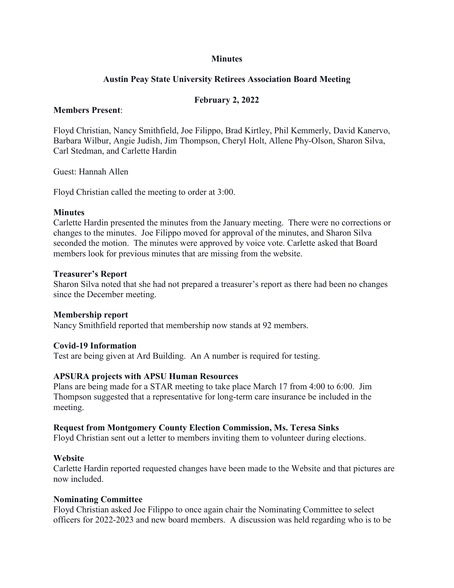### **Minutes**

### **Austin Peay State University Retirees Association Board Meeting**

### **February 2, 2022**

#### **Members Present**:

Floyd Christian, Nancy Smithfield, Joe Filippo, Brad Kirtley, Phil Kemmerly, David Kanervo, Barbara Wilbur, Angie Judish, Jim Thompson, Cheryl Holt, Allene Phy-Olson, Sharon Silva, Carl Stedman, and Carlette Hardin

Guest: Hannah Allen

Floyd Christian called the meeting to order at 3:00.

#### **Minutes**

Carlette Hardin presented the minutes from the January meeting. There were no corrections or changes to the minutes. Joe Filippo moved for approval of the minutes, and Sharon Silva seconded the motion. The minutes were approved by voice vote. Carlette asked that Board members look for previous minutes that are missing from the website.

#### **Treasurer's Report**

Sharon Silva noted that she had not prepared a treasurer's report as there had been no changes since the December meeting.

### **Membership report**

Nancy Smithfield reported that membership now stands at 92 members.

### **Covid-19 Information**

Test are being given at Ard Building. An A number is required for testing.

### **APSURA projects with APSU Human Resources**

Plans are being made for a STAR meeting to take place March 17 from 4:00 to 6:00. Jim Thompson suggested that a representative for long-term care insurance be included in the meeting.

### **Request from Montgomery County Election Commission, Ms. Teresa Sinks**

Floyd Christian sent out a letter to members inviting them to volunteer during elections.

### **Website**

Carlette Hardin reported requested changes have been made to the Website and that pictures are now included.

#### **Nominating Committee**

Floyd Christian asked Joe Filippo to once again chair the Nominating Committee to select officers for 2022-2023 and new board members. A discussion was held regarding who is to be